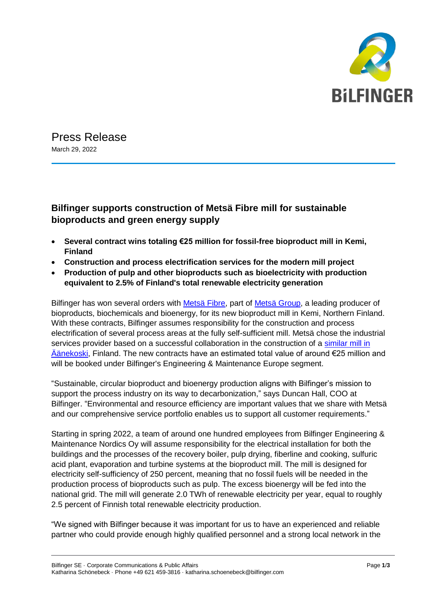

Press Release March 29, 2022

## **Bilfinger supports construction of Metsä Fibre mill for sustainable bioproducts and green energy supply**

- **Several contract wins totaling €25 million for fossil-free bioproduct mill in Kemi, Finland**
- **Construction and process electrification services for the modern mill project**
- **Production of pulp and other bioproducts such as bioelectricity with production equivalent to 2.5% of Finland's total renewable electricity generation**

Bilfinger has won several orders with [Metsä Fibre,](https://www.metsafibre.com/en/Pages/default.aspx) part of [Metsä Group,](https://www.metsagroup.com/en/Pages/default.aspx) a leading producer of bioproducts, biochemicals and bioenergy, for its new bioproduct mill in Kemi, Northern Finland. With these contracts, Bilfinger assumes responsibility for the construction and process electrification of several process areas at the fully self-sufficient mill. Metsä chose the industrial services provider based on a successful collaboration in the construction of a similar mill in [Äänekoski,](https://www.metsafibre.com/en/about-us/Production-units/Bioproduct-mill/Pages/default.aspx) Finland. The new contracts have an estimated total value of around €25 million and will be booked under Bilfinger's Engineering & Maintenance Europe segment.

"Sustainable, circular bioproduct and bioenergy production aligns with Bilfinger's mission to support the process industry on its way to decarbonization," says Duncan Hall, COO at Bilfinger. "Environmental and resource efficiency are important values that we share with Metsä and our comprehensive service portfolio enables us to support all customer requirements."

Starting in spring 2022, a team of around one hundred employees from Bilfinger Engineering & Maintenance Nordics Oy will assume responsibility for the electrical installation for both the buildings and the processes of the recovery boiler, pulp drying, fiberline and cooking, sulfuric acid plant, evaporation and turbine systems at the bioproduct mill. The mill is designed for electricity self-sufficiency of 250 percent, meaning that no fossil fuels will be needed in the production process of bioproducts such as pulp. The excess bioenergy will be fed into the national grid. The mill will generate 2.0 TWh of renewable electricity per year, equal to roughly 2.5 percent of Finnish total renewable electricity production.

"We signed with Bilfinger because it was important for us to have an experienced and reliable partner who could provide enough highly qualified personnel and a strong local network in the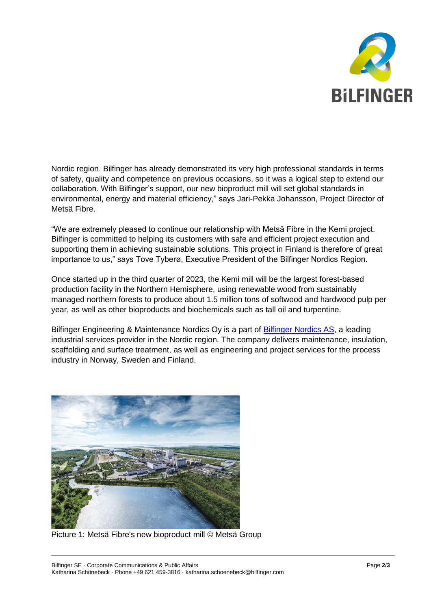

Nordic region. Bilfinger has already demonstrated its very high professional standards in terms of safety, quality and competence on previous occasions, so it was a logical step to extend our collaboration. With Bilfinger's support, our new bioproduct mill will set global standards in environmental, energy and material efficiency," says Jari-Pekka Johansson, Project Director of Metsä Fibre.

"We are extremely pleased to continue our relationship with Metsä Fibre in the Kemi project. Bilfinger is committed to helping its customers with safe and efficient project execution and supporting them in achieving sustainable solutions. This project in Finland is therefore of great importance to us," says Tove Tyberø, Executive President of the Bilfinger Nordics Region.

Once started up in the third quarter of 2023, the Kemi mill will be the largest forest-based production facility in the Northern Hemisphere, using renewable wood from sustainably managed northern forests to produce about 1.5 million tons of softwood and hardwood pulp per year, as well as other bioproducts and biochemicals such as tall oil and turpentine.

Bilfinger Engineering & Maintenance Nordics Oy is a part of [Bilfinger Nordics AS,](https://nordics.bilfinger.com/) a leading industrial services provider in the Nordic region. The company delivers maintenance, insulation, scaffolding and surface treatment, as well as engineering and project services for the process industry in Norway, Sweden and Finland.



Picture 1: Metsä Fibre's new bioproduct mill © Metsä Group